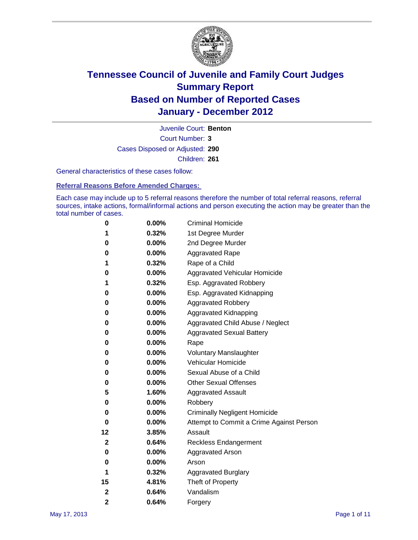

Court Number: **3** Juvenile Court: **Benton** Cases Disposed or Adjusted: **290** Children: **261**

General characteristics of these cases follow:

**Referral Reasons Before Amended Charges:** 

Each case may include up to 5 referral reasons therefore the number of total referral reasons, referral sources, intake actions, formal/informal actions and person executing the action may be greater than the total number of cases.

| 0              | 0.00% | <b>Criminal Homicide</b>                 |
|----------------|-------|------------------------------------------|
| 1              | 0.32% | 1st Degree Murder                        |
| 0              | 0.00% | 2nd Degree Murder                        |
| 0              | 0.00% | <b>Aggravated Rape</b>                   |
| 1              | 0.32% | Rape of a Child                          |
| 0              | 0.00% | Aggravated Vehicular Homicide            |
| 1              | 0.32% | Esp. Aggravated Robbery                  |
| 0              | 0.00% | Esp. Aggravated Kidnapping               |
| 0              | 0.00% | <b>Aggravated Robbery</b>                |
| 0              | 0.00% | Aggravated Kidnapping                    |
| 0              | 0.00% | Aggravated Child Abuse / Neglect         |
| 0              | 0.00% | <b>Aggravated Sexual Battery</b>         |
| 0              | 0.00% | Rape                                     |
| 0              | 0.00% | <b>Voluntary Manslaughter</b>            |
| 0              | 0.00% | Vehicular Homicide                       |
| 0              | 0.00% | Sexual Abuse of a Child                  |
| 0              | 0.00% | <b>Other Sexual Offenses</b>             |
| 5              | 1.60% | <b>Aggravated Assault</b>                |
| 0              | 0.00% | Robbery                                  |
| 0              | 0.00% | <b>Criminally Negligent Homicide</b>     |
| 0              | 0.00% | Attempt to Commit a Crime Against Person |
| 12             | 3.85% | Assault                                  |
| 2              | 0.64% | <b>Reckless Endangerment</b>             |
| 0              | 0.00% | <b>Aggravated Arson</b>                  |
| 0              | 0.00% | Arson                                    |
| 1              | 0.32% | <b>Aggravated Burglary</b>               |
| 15             | 4.81% | Theft of Property                        |
| 2              | 0.64% | Vandalism                                |
| $\overline{2}$ | 0.64% | Forgery                                  |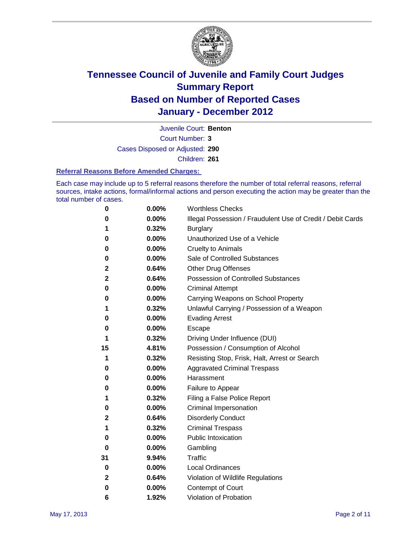

Juvenile Court: **Benton**

Court Number: **3**

Cases Disposed or Adjusted: **290**

Children: **261**

### **Referral Reasons Before Amended Charges:**

Each case may include up to 5 referral reasons therefore the number of total referral reasons, referral sources, intake actions, formal/informal actions and person executing the action may be greater than the total number of cases.

| 0            | 0.00% | <b>Worthless Checks</b>                                     |
|--------------|-------|-------------------------------------------------------------|
| 0            | 0.00% | Illegal Possession / Fraudulent Use of Credit / Debit Cards |
| 1            | 0.32% | <b>Burglary</b>                                             |
| 0            | 0.00% | Unauthorized Use of a Vehicle                               |
| 0            | 0.00% | <b>Cruelty to Animals</b>                                   |
| 0            | 0.00% | Sale of Controlled Substances                               |
| 2            | 0.64% | <b>Other Drug Offenses</b>                                  |
| 2            | 0.64% | <b>Possession of Controlled Substances</b>                  |
| 0            | 0.00% | <b>Criminal Attempt</b>                                     |
| 0            | 0.00% | Carrying Weapons on School Property                         |
| 1            | 0.32% | Unlawful Carrying / Possession of a Weapon                  |
| 0            | 0.00% | <b>Evading Arrest</b>                                       |
| 0            | 0.00% | Escape                                                      |
| 1            | 0.32% | Driving Under Influence (DUI)                               |
| 15           | 4.81% | Possession / Consumption of Alcohol                         |
| 1            | 0.32% | Resisting Stop, Frisk, Halt, Arrest or Search               |
| 0            | 0.00% | <b>Aggravated Criminal Trespass</b>                         |
| 0            | 0.00% | Harassment                                                  |
| 0            | 0.00% | Failure to Appear                                           |
| 1            | 0.32% | Filing a False Police Report                                |
| 0            | 0.00% | Criminal Impersonation                                      |
| 2            | 0.64% | <b>Disorderly Conduct</b>                                   |
| 1            | 0.32% | <b>Criminal Trespass</b>                                    |
| 0            | 0.00% | <b>Public Intoxication</b>                                  |
| 0            | 0.00% | Gambling                                                    |
| 31           | 9.94% | <b>Traffic</b>                                              |
| 0            | 0.00% | <b>Local Ordinances</b>                                     |
| $\mathbf{2}$ | 0.64% | Violation of Wildlife Regulations                           |
| 0            | 0.00% | Contempt of Court                                           |
| 6            | 1.92% | Violation of Probation                                      |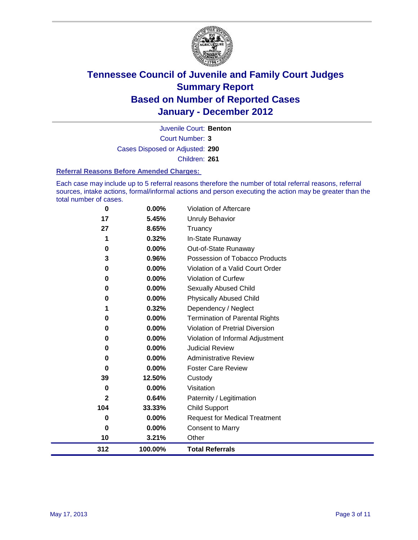

Court Number: **3** Juvenile Court: **Benton** Cases Disposed or Adjusted: **290** Children: **261**

#### **Referral Reasons Before Amended Charges:**

Each case may include up to 5 referral reasons therefore the number of total referral reasons, referral sources, intake actions, formal/informal actions and person executing the action may be greater than the total number of cases.

| $\bf{0}$     | 0.00%   | Violation of Aftercare                 |
|--------------|---------|----------------------------------------|
| 17           | 5.45%   | <b>Unruly Behavior</b>                 |
| 27           | 8.65%   | Truancy                                |
| 1            | 0.32%   | In-State Runaway                       |
| $\mathbf 0$  | 0.00%   | Out-of-State Runaway                   |
| 3            | 0.96%   | Possession of Tobacco Products         |
| 0            | 0.00%   | Violation of a Valid Court Order       |
| $\bf{0}$     | 0.00%   | Violation of Curfew                    |
| 0            | 0.00%   | Sexually Abused Child                  |
| 0            | 0.00%   | <b>Physically Abused Child</b>         |
| 1            | 0.32%   | Dependency / Neglect                   |
| $\bf{0}$     | 0.00%   | Termination of Parental Rights         |
| $\bf{0}$     | 0.00%   | <b>Violation of Pretrial Diversion</b> |
| 0            | 0.00%   | Violation of Informal Adjustment       |
| 0            | 0.00%   | <b>Judicial Review</b>                 |
| 0            | 0.00%   | <b>Administrative Review</b>           |
| $\bf{0}$     | 0.00%   | <b>Foster Care Review</b>              |
| 39           | 12.50%  | Custody                                |
| $\bf{0}$     | 0.00%   | Visitation                             |
| $\mathbf{2}$ | 0.64%   | Paternity / Legitimation               |
| 104          | 33.33%  | <b>Child Support</b>                   |
| 0            | 0.00%   | <b>Request for Medical Treatment</b>   |
| $\bf{0}$     | 0.00%   | <b>Consent to Marry</b>                |
| 10           | 3.21%   | Other                                  |
| 312          | 100.00% | <b>Total Referrals</b>                 |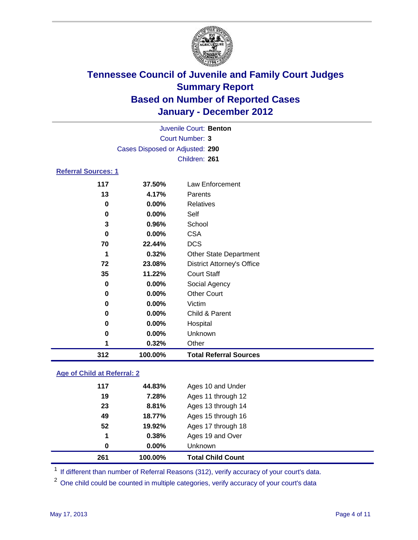

|                            | Juvenile Court: Benton          |                                   |  |  |  |
|----------------------------|---------------------------------|-----------------------------------|--|--|--|
|                            | Court Number: 3                 |                                   |  |  |  |
|                            | Cases Disposed or Adjusted: 290 |                                   |  |  |  |
|                            |                                 | Children: 261                     |  |  |  |
| <b>Referral Sources: 1</b> |                                 |                                   |  |  |  |
| 117                        | 37.50%                          | Law Enforcement                   |  |  |  |
| 13                         | 4.17%                           | Parents                           |  |  |  |
| 0                          | 0.00%                           | <b>Relatives</b>                  |  |  |  |
| 0                          | $0.00\%$                        | Self                              |  |  |  |
| 3                          | 0.96%                           | School                            |  |  |  |
| 0                          | 0.00%                           | <b>CSA</b>                        |  |  |  |
| 70                         | 22.44%                          | <b>DCS</b>                        |  |  |  |
| 1                          | 0.32%                           | <b>Other State Department</b>     |  |  |  |
| 72                         | 23.08%                          | <b>District Attorney's Office</b> |  |  |  |
| 35                         | 11.22%                          | <b>Court Staff</b>                |  |  |  |
| 0                          | 0.00%                           | Social Agency                     |  |  |  |
| 0                          | $0.00\%$                        | <b>Other Court</b>                |  |  |  |
| 0                          | 0.00%                           | Victim                            |  |  |  |
| 0                          | 0.00%                           | Child & Parent                    |  |  |  |
| 0                          | 0.00%                           | Hospital                          |  |  |  |
| 0                          | 0.00%                           | Unknown                           |  |  |  |
| 1                          | 0.32%                           | Other                             |  |  |  |
| 312                        | 100.00%                         | <b>Total Referral Sources</b>     |  |  |  |

### **Age of Child at Referral: 2**

| 261      | 100.00% | <b>Total Child Count</b> |  |
|----------|---------|--------------------------|--|
| $\bf{0}$ | 0.00%   | <b>Unknown</b>           |  |
| 1        | 0.38%   | Ages 19 and Over         |  |
| 52       | 19.92%  | Ages 17 through 18       |  |
| 49       | 18.77%  | Ages 15 through 16       |  |
| 23       | 8.81%   | Ages 13 through 14       |  |
| 19       | 7.28%   | Ages 11 through 12       |  |
| 117      | 44.83%  | Ages 10 and Under        |  |
|          |         |                          |  |

<sup>1</sup> If different than number of Referral Reasons (312), verify accuracy of your court's data.

<sup>2</sup> One child could be counted in multiple categories, verify accuracy of your court's data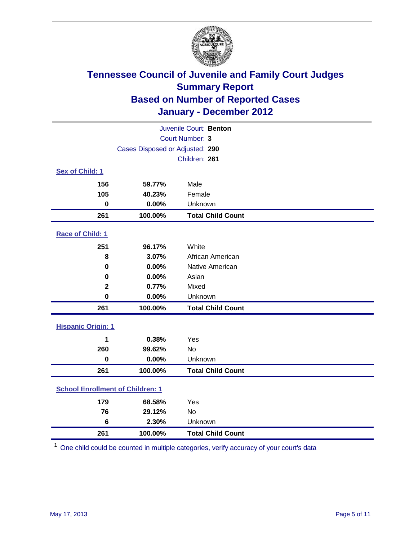

|                                         | Juvenile Court: Benton          |                          |  |  |
|-----------------------------------------|---------------------------------|--------------------------|--|--|
| <b>Court Number: 3</b>                  |                                 |                          |  |  |
|                                         | Cases Disposed or Adjusted: 290 |                          |  |  |
|                                         |                                 | Children: 261            |  |  |
| Sex of Child: 1                         |                                 |                          |  |  |
| 156                                     | 59.77%                          | Male                     |  |  |
| 105                                     | 40.23%                          | Female                   |  |  |
| $\mathbf 0$                             | 0.00%                           | Unknown                  |  |  |
| 261                                     | 100.00%                         | <b>Total Child Count</b> |  |  |
| Race of Child: 1                        |                                 |                          |  |  |
| 251                                     | 96.17%                          | White                    |  |  |
| 8                                       | 3.07%                           | African American         |  |  |
| $\mathbf 0$                             | 0.00%                           | Native American          |  |  |
| 0                                       | 0.00%                           | Asian                    |  |  |
| $\mathbf 2$                             | 0.77%                           | Mixed                    |  |  |
| $\mathbf 0$                             | 0.00%                           | Unknown                  |  |  |
| 261                                     | 100.00%                         | <b>Total Child Count</b> |  |  |
| <b>Hispanic Origin: 1</b>               |                                 |                          |  |  |
| 1                                       | 0.38%                           | Yes                      |  |  |
| 260                                     | 99.62%                          | No                       |  |  |
| $\mathbf 0$                             | 0.00%                           | Unknown                  |  |  |
| 261                                     | 100.00%                         | <b>Total Child Count</b> |  |  |
| <b>School Enrollment of Children: 1</b> |                                 |                          |  |  |
| 179                                     | 68.58%                          | Yes                      |  |  |
| 76                                      | 29.12%                          | <b>No</b>                |  |  |
| 6                                       | 2.30%                           | Unknown                  |  |  |
| 261                                     | 100.00%                         | <b>Total Child Count</b> |  |  |

One child could be counted in multiple categories, verify accuracy of your court's data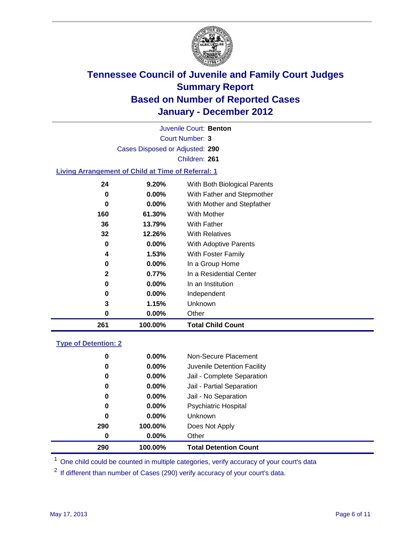

Court Number: **3** Juvenile Court: **Benton** Cases Disposed or Adjusted: **290** Children: **261**

### **Living Arrangement of Child at Time of Referral: 1**

| 261 | 100.00%  | <b>Total Child Count</b>     |
|-----|----------|------------------------------|
| 0   | $0.00\%$ | Other                        |
| 3   | 1.15%    | Unknown                      |
| 0   | $0.00\%$ | Independent                  |
| 0   | 0.00%    | In an Institution            |
| 2   | 0.77%    | In a Residential Center      |
| 0   | 0.00%    | In a Group Home              |
| 4   | 1.53%    | With Foster Family           |
| 0   | 0.00%    | With Adoptive Parents        |
| 32  | 12.26%   | <b>With Relatives</b>        |
| 36  | 13.79%   | With Father                  |
| 160 | 61.30%   | With Mother                  |
| 0   | 0.00%    | With Mother and Stepfather   |
| 0   | $0.00\%$ | With Father and Stepmother   |
| 24  | 9.20%    | With Both Biological Parents |
|     |          |                              |

#### **Type of Detention: 2**

| 290      | 100.00%  | <b>Total Detention Count</b> |  |
|----------|----------|------------------------------|--|
| 0        | $0.00\%$ | Other                        |  |
| 290      | 100.00%  | Does Not Apply               |  |
| 0        | 0.00%    | Unknown                      |  |
| 0        | 0.00%    | <b>Psychiatric Hospital</b>  |  |
| $\bf{0}$ | 0.00%    | Jail - No Separation         |  |
| 0        | $0.00\%$ | Jail - Partial Separation    |  |
| 0        | $0.00\%$ | Jail - Complete Separation   |  |
| 0        | 0.00%    | Juvenile Detention Facility  |  |
| 0        | $0.00\%$ | Non-Secure Placement         |  |
|          |          |                              |  |

<sup>1</sup> One child could be counted in multiple categories, verify accuracy of your court's data

<sup>2</sup> If different than number of Cases (290) verify accuracy of your court's data.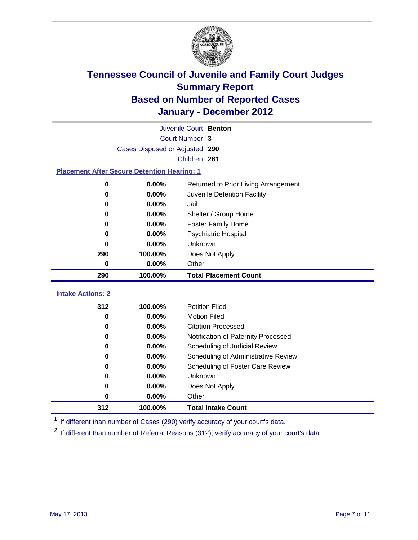

| Juvenile Court: Benton                             |                                               |                                     |  |  |  |
|----------------------------------------------------|-----------------------------------------------|-------------------------------------|--|--|--|
|                                                    | <b>Court Number: 3</b>                        |                                     |  |  |  |
|                                                    | Cases Disposed or Adjusted: 290               |                                     |  |  |  |
|                                                    |                                               | Children: 261                       |  |  |  |
| <b>Placement After Secure Detention Hearing: 1</b> |                                               |                                     |  |  |  |
| $\mathbf 0$                                        | 0.00%<br>Returned to Prior Living Arrangement |                                     |  |  |  |
| 0                                                  | $0.00\%$                                      | Juvenile Detention Facility         |  |  |  |
| 0                                                  | 0.00%                                         | Jail                                |  |  |  |
| 0                                                  | 0.00%                                         | Shelter / Group Home                |  |  |  |
| 0                                                  | 0.00%                                         | <b>Foster Family Home</b>           |  |  |  |
| 0                                                  | 0.00%                                         | Psychiatric Hospital                |  |  |  |
| 0                                                  | 0.00%                                         | Unknown                             |  |  |  |
| 290                                                | 100.00%                                       | Does Not Apply                      |  |  |  |
| 0                                                  | 0.00%                                         | Other                               |  |  |  |
| 290                                                | 100.00%                                       | <b>Total Placement Count</b>        |  |  |  |
| <b>Intake Actions: 2</b>                           |                                               |                                     |  |  |  |
| 312                                                | 100.00%                                       | <b>Petition Filed</b>               |  |  |  |
| $\bf{0}$                                           | 0.00%                                         | <b>Motion Filed</b>                 |  |  |  |
| $\bf{0}$                                           | 0.00%                                         | <b>Citation Processed</b>           |  |  |  |
| $\bf{0}$                                           | 0.00%                                         | Notification of Paternity Processed |  |  |  |
| 0                                                  | 0.00%                                         | Scheduling of Judicial Review       |  |  |  |
| 0                                                  | 0.00%                                         | Scheduling of Administrative Review |  |  |  |
| 0                                                  | 0.00%                                         | Scheduling of Foster Care Review    |  |  |  |
| 0                                                  | 0.00%                                         | Unknown                             |  |  |  |
| 0                                                  | 0.00%                                         | Does Not Apply                      |  |  |  |
| 0                                                  | 0.00%                                         | Other                               |  |  |  |

<sup>1</sup> If different than number of Cases (290) verify accuracy of your court's data.

**100.00% Total Intake Count**

<sup>2</sup> If different than number of Referral Reasons (312), verify accuracy of your court's data.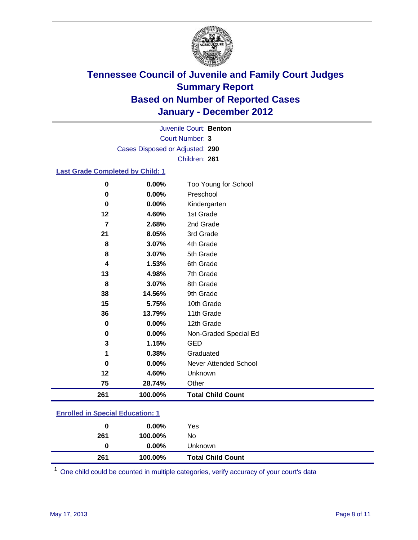

Court Number: **3** Juvenile Court: **Benton** Cases Disposed or Adjusted: **290** Children: **261**

### **Last Grade Completed by Child: 1**

| 261 | 100.00% | <b>Total Child Count</b> |
|-----|---------|--------------------------|
| 75  | 28.74%  | Other                    |
| 12  | 4.60%   | Unknown                  |
| 0   | 0.00%   | Never Attended School    |
| 1   | 0.38%   | Graduated                |
| 3   | 1.15%   | <b>GED</b>               |
| 0   | 0.00%   | Non-Graded Special Ed    |
| 0   | 0.00%   | 12th Grade               |
| 36  | 13.79%  | 11th Grade               |
| 15  | 5.75%   | 10th Grade               |
| 38  | 14.56%  | 9th Grade                |
| 8   | 3.07%   | 8th Grade                |
| 13  | 4.98%   | 7th Grade                |
| 4   | 1.53%   | 6th Grade                |
| 8   | 3.07%   | 5th Grade                |
| 8   | 3.07%   | 4th Grade                |
| 21  | 8.05%   | 3rd Grade                |
| 7   | 2.68%   | 2nd Grade                |
| 12  | 4.60%   | 1st Grade                |
| 0   | 0.00%   | Kindergarten             |
| 0   | 0.00%   | Preschool                |
| 0   | 0.00%   | Too Young for School     |

### **Enrolled in Special Education: 1**

| 0   | $0.00\%$ | Yes                      |
|-----|----------|--------------------------|
| 261 | 100.00%  | No                       |
|     | $0.00\%$ | Unknown                  |
| 261 | 100.00%  | <b>Total Child Count</b> |

One child could be counted in multiple categories, verify accuracy of your court's data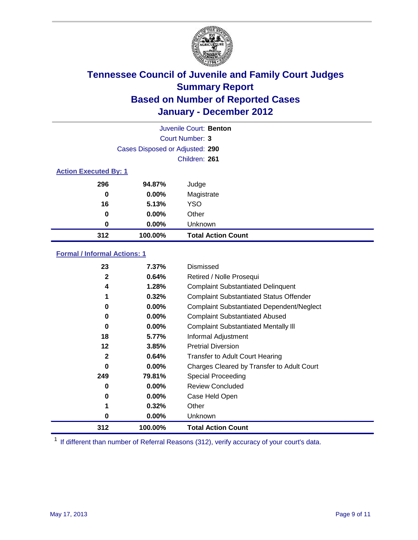

|                              | Juvenile Court: Benton          |                           |  |  |
|------------------------------|---------------------------------|---------------------------|--|--|
|                              |                                 | Court Number: 3           |  |  |
|                              | Cases Disposed or Adjusted: 290 |                           |  |  |
|                              |                                 | Children: 261             |  |  |
| <b>Action Executed By: 1</b> |                                 |                           |  |  |
| 296                          | 94.87%                          | Judge                     |  |  |
| 0                            | 0.00%                           | Magistrate                |  |  |
| 16                           | 5.13%                           | <b>YSO</b>                |  |  |
| 0                            | 0.00%                           | Other                     |  |  |
| 0                            | 0.00%                           | Unknown                   |  |  |
| 312                          | 100.00%                         | <b>Total Action Count</b> |  |  |

### **Formal / Informal Actions: 1**

| 23           | 7.37%    | Dismissed                                        |
|--------------|----------|--------------------------------------------------|
| $\mathbf{2}$ | 0.64%    | Retired / Nolle Prosequi                         |
| 4            | 1.28%    | <b>Complaint Substantiated Delinquent</b>        |
|              | 0.32%    | <b>Complaint Substantiated Status Offender</b>   |
| 0            | $0.00\%$ | <b>Complaint Substantiated Dependent/Neglect</b> |
| 0            | $0.00\%$ | <b>Complaint Substantiated Abused</b>            |
| 0            | $0.00\%$ | <b>Complaint Substantiated Mentally III</b>      |
| 18           | 5.77%    | Informal Adjustment                              |
| 12           | 3.85%    | <b>Pretrial Diversion</b>                        |
| $\mathbf{2}$ | 0.64%    | <b>Transfer to Adult Court Hearing</b>           |
| 0            | $0.00\%$ | Charges Cleared by Transfer to Adult Court       |
| 249          | 79.81%   | Special Proceeding                               |
| 0            | $0.00\%$ | <b>Review Concluded</b>                          |
| 0            | $0.00\%$ | Case Held Open                                   |
|              | 0.32%    | Other                                            |
| 0            | $0.00\%$ | Unknown                                          |
| 312          | 100.00%  | <b>Total Action Count</b>                        |

<sup>1</sup> If different than number of Referral Reasons (312), verify accuracy of your court's data.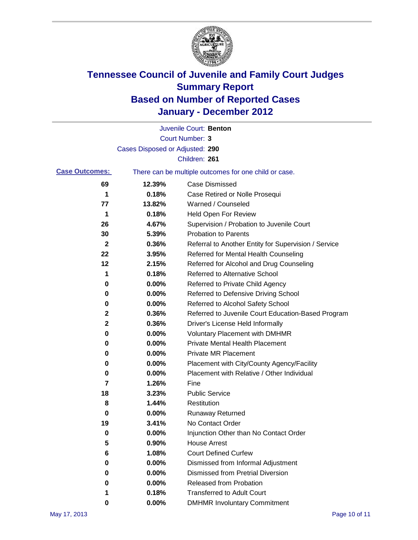

|                       |                                 | Juvenile Court: Benton                                |
|-----------------------|---------------------------------|-------------------------------------------------------|
|                       |                                 | <b>Court Number: 3</b>                                |
|                       | Cases Disposed or Adjusted: 290 |                                                       |
|                       |                                 | Children: 261                                         |
| <b>Case Outcomes:</b> |                                 | There can be multiple outcomes for one child or case. |
| 69                    | 12.39%                          | <b>Case Dismissed</b>                                 |
| 1                     | 0.18%                           | Case Retired or Nolle Prosequi                        |
| 77                    | 13.82%                          | Warned / Counseled                                    |
| 1                     | 0.18%                           | <b>Held Open For Review</b>                           |
| 26                    | 4.67%                           | Supervision / Probation to Juvenile Court             |
| 30                    | 5.39%                           | <b>Probation to Parents</b>                           |
| $\mathbf{2}$          | 0.36%                           | Referral to Another Entity for Supervision / Service  |
| 22                    | 3.95%                           | Referred for Mental Health Counseling                 |
| 12                    | 2.15%                           | Referred for Alcohol and Drug Counseling              |
| 1                     | 0.18%                           | <b>Referred to Alternative School</b>                 |
| 0                     | 0.00%                           | Referred to Private Child Agency                      |
| 0                     | 0.00%                           | Referred to Defensive Driving School                  |
| 0                     | 0.00%                           | Referred to Alcohol Safety School                     |
| 2                     | 0.36%                           | Referred to Juvenile Court Education-Based Program    |
| 2                     | 0.36%                           | Driver's License Held Informally                      |
| 0                     | 0.00%                           | <b>Voluntary Placement with DMHMR</b>                 |
| 0                     | 0.00%                           | <b>Private Mental Health Placement</b>                |
| 0                     | 0.00%                           | <b>Private MR Placement</b>                           |
| 0                     | 0.00%                           | Placement with City/County Agency/Facility            |
| 0                     | 0.00%                           | Placement with Relative / Other Individual            |
| 7                     | 1.26%                           | Fine                                                  |
| 18                    | 3.23%                           | <b>Public Service</b>                                 |
| 8                     | 1.44%                           | Restitution                                           |
| 0                     | 0.00%                           | <b>Runaway Returned</b>                               |
| 19                    | 3.41%                           | No Contact Order                                      |
| 0                     | 0.00%                           | Injunction Other than No Contact Order                |
| 5                     | 0.90%                           | <b>House Arrest</b>                                   |
| 6                     | 1.08%                           | <b>Court Defined Curfew</b>                           |
| 0                     | 0.00%                           | Dismissed from Informal Adjustment                    |
| 0                     | 0.00%                           | <b>Dismissed from Pretrial Diversion</b>              |
| 0                     | 0.00%                           | Released from Probation                               |
| 1                     | 0.18%                           | <b>Transferred to Adult Court</b>                     |
| 0                     | $0.00\%$                        | <b>DMHMR Involuntary Commitment</b>                   |